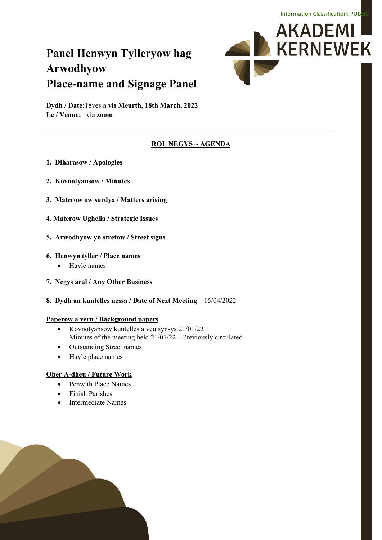# **Panel Henwyn Tylleryow hag Arwodhyow Place-name and Signage Panel**



**Dydh / Date:**18ves **a vis Meurth, 18th March, 2022 Le / Venue:** via **zoom**

### **ROL NEGYS ~ AGENDA**

- **1. Diharasow / Apologies**
- **2. Kovnotyansow / Minutes**
- **3. Materow ow sordya / Matters arising**
- **4. Materow Ughella / Strategic Issues**
- **5. Arwodhyow yn stretow / Street signs**

#### **6. Henwyn tyller / Place names**

- Hayle names
- **7. Negys aral / Any Other Business**
- **8. Dydh an kuntelles nessa / Date of Next Meeting**  15/04/2022

#### **Paperow a vern / Background papers**

- Kovnotyansow kuntelles a veu synsys 21/01/22 Minutes of the meeting held 21/01/22 – Previously circulated
- Outstanding Street names
- Hayle place names

#### **Ober A-dheu / Future Work**

- Penwith Place Names
- Finish Parishes
- Intermediate Names

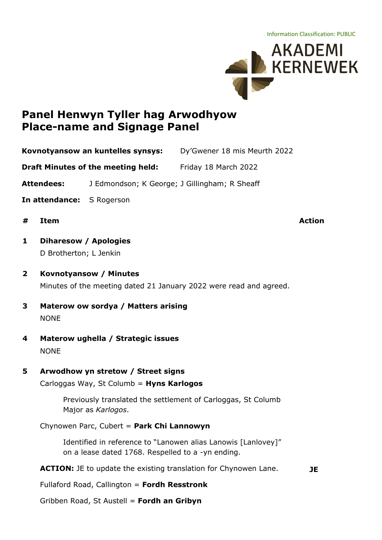

# **Panel Henwyn Tyller hag Arwodhyow Place-name and Signage Panel**

**Kovnotyansow an kuntelles synsys:** Dy'Gwener 18 mis Meurth 2022

**Draft Minutes of the meeting held:** Friday 18 March 2022

**Attendees:** J Edmondson; K George; J Gillingham; R Sheaff

- **In attendance:** S Rogerson
- **# Item Action**

**JE**

- **1 Diharesow / Apologies** D Brotherton; L Jenkin
- **2 Kovnotyansow / Minutes** Minutes of the meeting dated 21 January 2022 were read and agreed.
- **3 Materow ow sordya / Matters arising** NONE
- **4 Materow ughella / Strategic issues** NONE
- **5 Arwodhow yn stretow / Street signs**

Carloggas Way, St Columb = **Hyns Karlogos**

Previously translated the settlement of Carloggas, St Columb Major as *Karlogos*.

Chynowen Parc, Cubert = **Park Chi Lannowyn**

Identified in reference to "Lanowen alias Lanowis [Lanlovey]" on a lease dated 1768. Respelled to a -yn ending.

**ACTION:** JE to update the existing translation for Chynowen Lane.

Fullaford Road, Callington = **Fordh Resstronk**

Gribben Road, St Austell = **Fordh an Gribyn**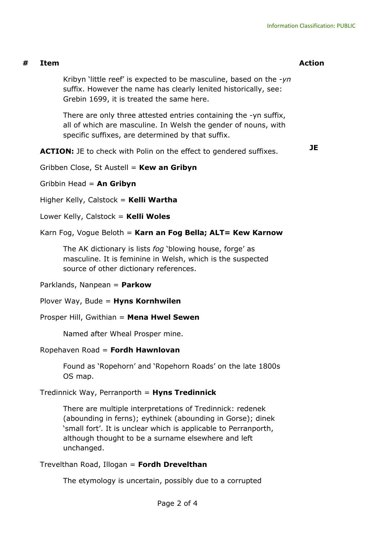### **# Item Action**

Kribyn 'little reef' is expected to be masculine, based on the -*yn* suffix. However the name has clearly lenited historically, see: Grebin 1699, it is treated the same here.

There are only three attested entries containing the -yn suffix, all of which are masculine. In Welsh the gender of nouns, with specific suffixes, are determined by that suffix.

**ACTION:** JE to check with Polin on the effect to gendered suffixes.

**JE**

Gribben Close, St Austell = **Kew an Gribyn**

Gribbin Head = **An Gribyn**

Higher Kelly, Calstock = **Kelli Wartha**

Lower Kelly, Calstock = **Kelli Woles**

#### Karn Fog, Vogue Beloth = **Karn an Fog Bella; ALT= Kew Karnow**

The AK dictionary is lists *fog* 'blowing house, forge' as masculine. It is feminine in Welsh, which is the suspected source of other dictionary references.

Parklands, Nanpean = **Parkow**

Plover Way, Bude = **Hyns Kornhwilen**

Prosper Hill, Gwithian = **Mena Hwel Sewen**

Named after Wheal Prosper mine.

#### Ropehaven Road = **Fordh Hawnlovan**

Found as 'Ropehorn' and 'Ropehorn Roads' on the late 1800s OS map.

#### Tredinnick Way, Perranporth = **Hyns Tredinnick**

There are multiple interpretations of Tredinnick: redenek (abounding in ferns); eythinek (abounding in Gorse); dinek 'small fort'. It is unclear which is applicable to Perranporth, although thought to be a surname elsewhere and left unchanged.

Trevelthan Road, Illogan = **Fordh Drevelthan**

The etymology is uncertain, possibly due to a corrupted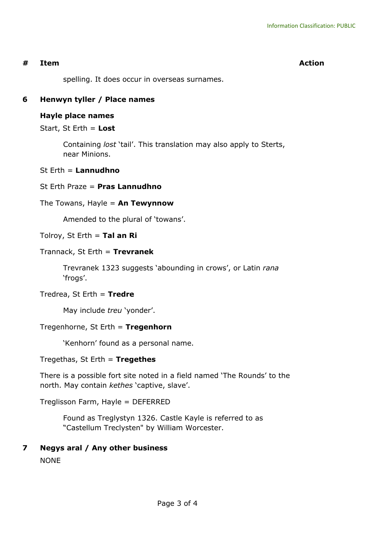### **# Item Action**

spelling. It does occur in overseas surnames.

## **6 Henwyn tyller / Place names**

#### **Hayle place names**

Start, St Erth = **Lost**

Containing *lost* 'tail'. This translation may also apply to Sterts, near Minions.

#### St Erth = **Lannudhno**

### St Erth Praze = **Pras Lannudhno**

### The Towans, Hayle = **An Tewynnow**

Amended to the plural of 'towans'.

### Tolroy, St Erth = **Tal an Ri**

### Trannack, St Erth = **Trevranek**

Trevranek 1323 suggests 'abounding in crows', or Latin *rana* 'frogs'.

#### Tredrea, St Erth = **Tredre**

May include *treu* 'yonder'.

## Tregenhorne, St Erth = **Tregenhorn**

'Kenhorn' found as a personal name.

Tregethas, St Erth = **Tregethes**

There is a possible fort site noted in a field named 'The Rounds' to the north. May contain *kethes* 'captive, slave'.

Treglisson Farm, Hayle = DEFERRED

Found as Treglystyn 1326. Castle Kayle is referred to as "Castellum Treclysten" by William Worcester.

## **7 Negys aral / Any other business**

NONE